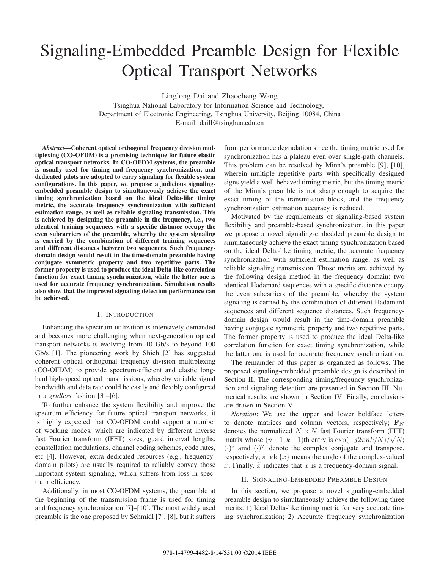# Signaling-Embedded Preamble Design for Flexible Optical Transport Networks

Linglong Dai and Zhaocheng Wang

Tsinghua National Laboratory for Information Science and Technology, Department of Electronic Engineering, Tsinghua University, Beijing 10084, China E-mail: daill@tsinghua.edu.cn

*Abstract***—Coherent optical orthogonal frequency division multiplexing (CO-OFDM) is a promising technique for future elastic optical transport networks. In CO-OFDM systems, the preamble is usually used for timing and frequency synchronization, and dedicated pilots are adopted to carry signaling for flexible system configurations. In this paper, we propose a judicious signalingembedded preamble design to simultaneously achieve the exact timing synchronization based on the ideal Delta-like timing metric, the accurate frequency synchronization with sufficient estimation range, as well as reliable signaling transmission. This is achieved by designing the preamble in the frequency, i.e., two identical training sequences with a specific distance occupy the even subcarriers of the preamble, whereby the system signaling is carried by the combination of different training sequences and different distances between two sequences. Such frequencydomain design would result in the time-domain preamble having conjugate symmetric property and two repetitive parts. The former property is used to produce the ideal Delta-like correlation function for exact timing synchronization, while the latter one is used for accurate frequency synchronization. Simulation results also show that the improved signaling detection performance can be achieved.**

## I. INTRODUCTION

Enhancing the spectrum utilization is intensively demanded and becomes more challenging when next-generation optical transport networks is evolving from 10 Gb/s to beyond 100 Gb/s [1]. The pioneering work by Shieh [2] has suggested coherent optical orthogonal frequency division multiplexing (CO-OFDM) to provide spectrum-efficient and elastic longhaul high-speed optical transmissions, whereby variable signal bandwidth and data rate could be easily and flexibly configured in a *gridless* fashion [3]–[6].

To further enhance the system flexibility and improve the spectrum efficiency for future optical transport networks, it is highly expected that CO-OFDM could support a number of working modes, which are indicated by different inverse fast Fourier transform (IFFT) sizes, guard interval lengths, constellation modulations, channel coding schemes, code rates, etc [4]. However, extra dedicated resources (e.g., frequencydomain pilots) are usually required to reliably convey those important system signaling, which suffers from loss in spectrum efficiency.

Additionally, in most CO-OFDM systems, the preamble at the beginning of the transmission frame is used for timing and frequency synchronization [7]–[10]. The most widely used preamble is the one proposed by Schmidl [7], [8], but it suffers

from performance degradation since the timing metric used for synchronization has a plateau even over single-path channels. This problem can be resolved by Minn's preamble [9], [10], wherein multiple repetitive parts with specifically designed signs yield a well-behaved timing metric, but the timing metric of the Minn's preamble is not sharp enough to acquire the exact timing of the transmission block, and the frequency synchronization estimation accuracy is reduced.

Motivated by the requirements of signaling-based system flexibility and preamble-based synchronization, in this paper we propose a novel signaling-embedded preamble design to simultaneously achieve the exact timing synchronization based on the ideal Delta-like timing metric, the accurate frequency synchronization with sufficient estimation range, as well as reliable signaling transmission. Those merits are achieved by the following design method in the frequency domain: two identical Hadamard sequences with a specific distance occupy the even subcarriers of the preamble, whereby the system signaling is carried by the combination of different Hadamard sequences and different sequence distances. Such frequencydomain design would result in the time-domain preamble having conjugate symmetric property and two repetitive parts. The former property is used to produce the ideal Delta-like correlation function for exact timing synchronization, while the latter one is used for accurate frequency synchronization.

The remainder of this paper is organized as follows. The proposed signaling-embedded preamble design is described in Section II. The corresponding timing/freqeuncy synchronization and signaling detection are presented in Section III. Numerical results are shown in Section IV. Finally, conclusions are drawn in Section V.

*Notation*: We use the upper and lower boldface letters to denote matrices and column vectors, respectively; **F***<sup>N</sup>* denotes the normalized  $N \times N$  fast Fourier transform (FFT) matrix whose  $(n+1, k+1)$ th entry is  $\exp(-j2\pi n k/N)/\sqrt{N}$ ;  $(\cdot)^*$  amd  $(\cdot)^T$  denote the complex conjugate and transpose, respectively; angle ${x}$  means the angle of the complex-valued x; Finally,  $\tilde{x}$  indicates that x is a frequency-domain signal.

#### II. SIGNALING-EMBEDDED PREAMBLE DESIGN

In this section, we propose a novel signaling-embedded preamble design to simultaneously achieve the following three merits: 1) Ideal Delta-like timing metric for very accurate timing synchronization; 2) Accurate frequency synchronization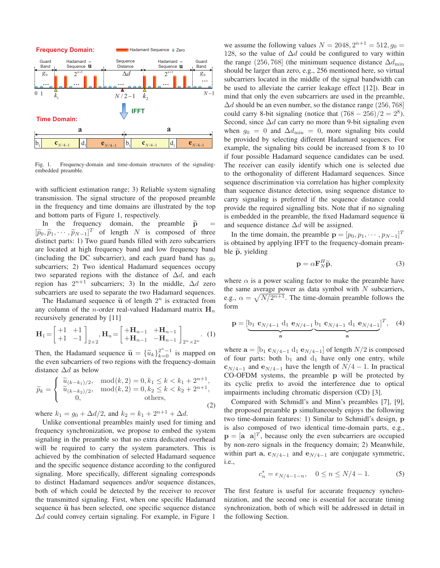

Fig. 1. Frequency-domain and time-domain structures of the signalingembedded preamble.

with sufficient estimation range; 3) Reliable system signaling transmission. The signal structure of the proposed preamble in the frequency and time domains are illustrated by the top and bottom parts of Figure 1, respectively.

In the frequency domain, the preamble  $\tilde{p}$  =  $[\widetilde{p}_0, \widetilde{p}_1, \cdots, \widetilde{p}_{N-1}]^T$  of length N is composed of three<br>distinct north 1) Thus such hards filled with one subseminant distinct parts: 1) Two guard bands filled with zero subcarriers are located at high frequency band and low frequency band (including the DC subcarrier), and each guard band has  $g_0$ subcarriers; 2) Two identical Hadamard sequences occupy two separated regions with the distance of  $\Delta d$ , and each region has  $2^{n+1}$  subcarriers; 3) In the middle,  $\Delta d$  zero subcarriers are used to separate the two Hadamard sequences.

The Hadamard sequence  $\tilde{u}$  of length  $2^n$  is extracted from any column of the *n*-order real-valued Hadamard matrix  $H_n$ recursively generated by [11]

$$
\mathbf{H}_{1} = \begin{bmatrix} +1 & +1 \\ +1 & -1 \end{bmatrix}_{2\times 2}, \mathbf{H}_{n} = \begin{bmatrix} +\mathbf{H}_{n-1} & +\mathbf{H}_{n-1} \\ +\mathbf{H}_{n-1} & -\mathbf{H}_{n-1} \end{bmatrix}_{2^{n}\times 2^{n}}. \tag{1}
$$

Then, the Hadamard sequence  $\tilde{u} = {\{\tilde{u}_k\}}_{k=0}^{2^n-1}$  is mapped on the sum only property of two projections with the foregroup dependent the even subcarriers of two regions with the frequency-domain distance  $\Delta d$  as below

$$
\widetilde{p}_k = \begin{cases}\n\widetilde{u}_{(k-k_1)/2}, & \text{mod}(k,2) = 0, k_1 \le k < k_1 + 2^{n+1}, \\
\widetilde{u}_{(k-k_2)/2}, & \text{mod}(k,2) = 0, k_2 \le k < k_2 + 2^{n+1}, \\
0, & \text{others},\n\end{cases} \tag{2}
$$

where  $k_1 = g_0 + \Delta d/2$ , and  $k_2 = k_1 + 2^{n+1} + \Delta d$ .

Unlike conventional preambles mainly used for timing and frequency synchronization, we propose to embed the system signaling in the preamble so that no extra dedicated overhead will be required to carry the system parameters. This is achieved by the combination of selected Hadamard sequence and the specific sequence distance according to the configured signaling. More specifically, different signaling corresponds to distinct Hadamard sequences and/or sequence distances, both of which could be detected by the receiver to recover the transmitted signaling. First, when one specific Hadamard sequence  $\tilde{u}$  has been selected, one specific sequence distance  $\Delta d$  could convey certain signaling. For example, in Figure 1

we assume the following values  $N = 2048, 2^{n+1} = 512, q_0 =$ 128, so the value of  $\Delta d$  could be configured to vary within the range (256, 768] (the minimum sequence distance  $\Delta d_{\text{min}}$ ) should be larger than zero, e.g., 256 mentioned here, so virtual subcarriers located in the middle of the signal bandwidth can be used to alleviate the carrier leakage effect [12]). Bear in mind that only the even subcarriers are used in the preamble,  $\Delta d$  should be an even number, so the distance range (256, 768) could carry 8-bit signaling (notice that  $(768 - 256)/2 = 2^8$ ). Second, since  $\Delta d$  can carry no more than 9-bit signaling even when  $g_0 = 0$  and  $\Delta d_{\text{min}} = 0$ , more signaling bits could be provided by selecting different Hadamard sequences. For example, the signaling bits could be increased from 8 to 10 if four possible Hadamard sequence candidates can be used. The receiver can easily identify which one is selected due to the orthogonality of different Hadamard sequences. Since sequence discrimination via correlation has higher complexity than sequence distance detection, using sequence distance to carry signaling is preferred if the sequence distance could provide the required signalling bits. Note that if no signaling is embedded in the preamble, the fixed Hadamard sequence  $\tilde{u}$ and sequence distance  $\Delta d$  will be assigned.

In the time domain, the preamble  $\mathbf{p} = [p_0, p_1, \dots, p_{N-1}]^T$ is obtained by applying IFFT to the frequency-domain preamble  $\tilde{p}$ , yielding

$$
\mathbf{p} = \alpha \mathbf{F}_N^H \widetilde{\mathbf{p}},\tag{3}
$$

where  $\alpha$  is a power scaling factor to make the preamble have the same average power as data symbol with  $N$  subcarriers, e.g.,  $\alpha = \sqrt{N/2^{n+1}}$ . The time-domain preamble follows the form

$$
\mathbf{p} = \underbrace{[\mathbf{b}_1 \ \mathbf{c}_{N/4-1} \ \mathbf{d}_1 \ \mathbf{e}_{N/4-1} \ \mathbf{b}_1 \ \mathbf{c}_{N/4-1} \ \mathbf{d}_1 \ \mathbf{e}_{N/4-1}]}_{\mathbf{a}}^T, \quad (4)
$$

where  $\mathbf{a} = \begin{bmatrix} b_1 \mathbf{c}_{N/4-1} d_1 \mathbf{e}_{N/4-1} \end{bmatrix}$  of length  $N/2$  is composed of four parts: both  $b_1$  and  $d_1$  have only one entry, while  $c_{N/4-1}$  and  $e_{N/4-1}$  have the length of  $N/4-1$ . In practical CO-OFDM systems, the preamble **p** will be protected by its cyclic prefix to avoid the interference due to optical impairments including chromatic dispersion (CD) [3].

Compared with Schmidl's and Minn's preambles [7], [9], the proposed preamble **p** simultaneously enjoys the following two time-domain features: 1) Similar to Schmidl's design, **p** is also composed of two identical time-domain parts, e.g.,  $\mathbf{p} = [\mathbf{a} \ \mathbf{a}]^T$ , because only the even subcarriers are occupied by non-zero signals in the frequency domain; 2) Meanwhile, within part **a**,  $\mathbf{c}_{N/4-1}$  and  $\mathbf{e}_{N/4-1}$  are conjugate symmetric, i.e.,

$$
c_n^* = e_{N/4 - 1 - n}, \quad 0 \le n \le N/4 - 1. \tag{5}
$$

The first feature is useful for accurate frequency synchronization, and the second one is essential for accurate timing synchronization, both of which will be addressed in detail in the following Section.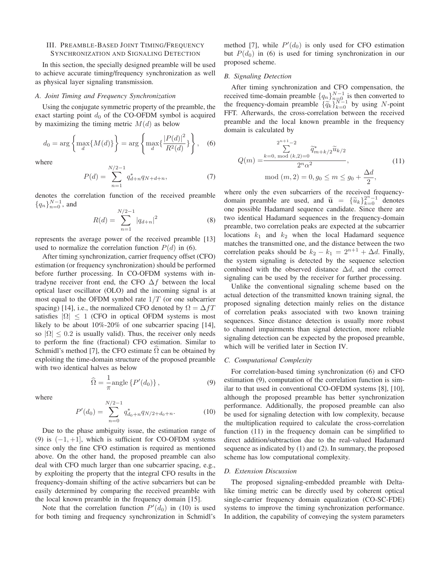## III. PREAMBLE-BASED JOINT TIMING/FREQUENCY SYNCHRONIZATION AND SIGNALING DETECTION

In this section, the specially designed preamble will be used to achieve accurate timing/frequency synchronization as well as physical layer signaling transmission.

#### *A. Joint Timing and Frequency Synchronization*

Using the conjugate symmetric property of the preamble, the exact starting point  $d_0$  of the CO-OFDM symbol is acquired by maximizing the timing metric  $M(d)$  as below

$$
d_0 = \arg \left\{ \max_d \{ M(d) \} \right\} = \arg \left\{ \max_d \{ \frac{|P(d)|^2}{R^2(d)} \} \right\}, \quad (6)
$$

where

$$
P(d) = \sum_{n=1}^{N/2-1} q_{d+n}^{*} q_{N+d+n},
$$
\n(7)

denotes the correlation function of the received preamble  ${q_n}_{n=0}^{N-1}$ , and

$$
R(d) = \sum_{n=1}^{N/2 - 1} |q_{d+n}|^2
$$
 (8)

represents the average power of the received preamble [13] used to normalize the correlation function  $P(d)$  in (6).

After timing synchronization, carrier frequency offset (CFO) estimation (or frequency synchronization) should be performed before further processing. In CO-OFDM systems with intradyne receiver front end, the CFO  $\Delta f$  between the local optical laser oscillator (OLO) and the incoming signal is at most equal to the OFDM symbol rate  $1/T$  (or one subcarrier spacing) [14], i.e., the normalized CFO denoted by  $\Omega = \Delta fT$ satisfies  $|\Omega| \le 1$  (CFO in optical OFDM systems is most likely to be about 10%-20% of one subcarrier spacing [14], so  $|\Omega| \leq 0.2$  is usually valid). Thus, the receiver only needs to perform the fine (fractional) CFO estimation. Similar to Schmidl's method [7], the CFO estimate  $\Omega$  can be obtained by exploiting the time-domain structure of the proposed preamble with two identical halves as below

$$
\widehat{\Omega} = \frac{1}{\pi} \text{angle} \left\{ P'(d_0) \right\},\tag{9}
$$

where

$$
P'(d_0) = \sum_{n=0}^{N/2-1} q_{d_0+n}^* q_{N/2+d_0+n}.
$$
 (10)

Due to the phase ambiguity issue, the estimation range of (9) is  $(-1, +1]$ , which is sufficient for CO-OFDM systems since only the fine CFO estimation is required as mentioned above. On the other hand, the proposed preamble can also deal with CFO much larger than one subcarrier spacing, e.g., by exploiting the property that the integral CFO results in the frequency-domain shifting of the active subcarriers but can be easily determined by comparing the received preamble with the local known preamble in the frequency domain [15].

Note that the correlation function  $P'(d_0)$  in (10) is used for both timing and frequency synchronization in Schmidl's

method [7], while  $P'(d_0)$  is only used for CFO estimation but  $P(d_0)$  in (6) is used for timing synchronization in our proposed scheme.

### *B. Signaling Detection*

After timing synchronization and CFO compensation, the received time-domain preamble  ${q_n}_{n=0}^{N-1}$  is then converted to the frequency-domain preamble  $\{\widetilde{q}_k\}_{k=0}^{N-1}$  by using N-point FFT. Afterwards, the cross-correlation between the received preamble and the local known preamble in the frequency domain is calculated by

$$
Q(m) = \frac{\sum_{k=0, \text{ mod } (k,2)=0}^{2^{n+1}-2} \tilde{q}_{m+k/2}^* \tilde{u}_{k/2}}{2^n \alpha^2},
$$
  
mod  $(m, 2) = 0, g_0 \le m \le g_0 + \frac{\Delta d}{2},$  (11)

where only the even subcarriers of the received frequencydomain preamble are used, and  $\tilde{u} = {\tilde{u}_k}_{k=0}^{2^n-1}$  denotes one possible Hadamard sequence candidate. Since there are two identical Hadamard sequences in the frequency-domain preamble, two correlation peaks are expected at the subcarrier locations  $k_1$  and  $k_2$  when the local Hadamard sequence matches the transmitted one, and the distance between the two correlation peaks should be  $k_2 - k_1 = 2^{n+1} + \Delta d$ . Finally, the system signaling is detected by the sequence selection combined with the observed distance  $\Delta d$ , and the correct signaling can be used by the receiver for further processing.

Unlike the conventional signaling scheme based on the actual detection of the transmitted known training signal, the proposed signaling detection mainly relies on the distance of correlation peaks associated with two known training sequences. Since distance detection is usually more robust to channel impairments than signal detection, more reliable signaling detection can be expected by the proposed preamble, which will be verified later in Section IV.

## *C. Computational Complexity*

For correlation-based timing synchronization (6) and CFO estimation (9), computation of the correlation function is similar to that used in conventional CO-OFDM systems [8], [10], although the proposed preamble has better synchronization performance. Additionally, the proposed preamble can also be used for signaling detection with low complexity, because the multiplication required to calculate the cross-correlation function (11) in the frequency domain can be simplified to direct addition/subtraction due to the real-valued Hadamard sequence as indicated by (1) and (2). In summary, the proposed scheme has low computational complexity.

#### *D. Extension Discussion*

The proposed signaling-embedded preamble with Deltalike timing metric can be directly used by coherent optical single-carrier frequency domain equalization (CO-SC-FDE) systems to improve the timing synchronization performance. In addition, the capability of conveying the system parameters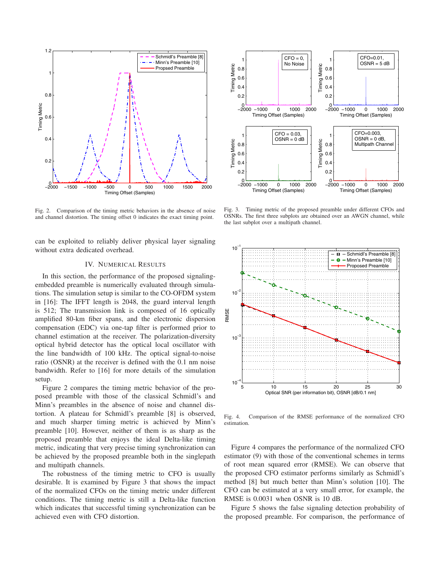

Fig. 2. Comparison of the timing metric behaviors in the absence of noise and channel distortion. The timing offset 0 indicates the exact timing point.

can be exploited to reliably deliver physical layer signaling without extra dedicated overhead.

## IV. NUMERICAL RESULTS

In this section, the performance of the proposed signalingembedded preamble is numerically evaluated through simulations. The simulation setup is similar to the CO-OFDM system in [16]: The IFFT length is 2048, the guard interval length is 512; The transmission link is composed of 16 optically amplified 80-km fiber spans, and the electronic dispersion compensation (EDC) via one-tap filter is performed prior to channel estimation at the receiver. The polarization-diversity optical hybrid detector has the optical local oscillator with the line bandwidth of 100 kHz. The optical signal-to-noise ratio (OSNR) at the receiver is defined with the 0.1 nm noise bandwidth. Refer to [16] for more details of the simulation setup.

Figure 2 compares the timing metric behavior of the proposed preamble with those of the classical Schmidl's and Minn's preambles in the absence of noise and channel distortion. A plateau for Schmidl's preamble [8] is observed, and much sharper timing metric is achieved by Minn's preamble [10]. However, neither of them is as sharp as the proposed preamble that enjoys the ideal Delta-like timing metric, indicating that very precise timing synchronization can be achieved by the proposed preamble both in the singlepath and multipath channels.

The robustness of the timing metric to CFO is usually desirable. It is examined by Figure 3 that shows the impact of the normalized CFOs on the timing metric under different conditions. The timing metric is still a Delta-like function which indicates that successful timing synchronization can be achieved even with CFO distortion.



Fig. 3. Timing metric of the proposed preamble under different CFOs and OSNRs. The first three subplots are obtained over an AWGN channel, while the last subplot over a multipath channel.



Fig. 4. Comparison of the RMSE performance of the normalized CFO estimation.

Figure 4 compares the performance of the normalized CFO estimator (9) with those of the conventional schemes in terms of root mean squared error (RMSE). We can observe that the proposed CFO estimator performs similarly as Schmidl's method [8] but much better than Minn's solution [10]. The CFO can be estimated at a very small error, for example, the RMSE is 0.0031 when OSNR is 10 dB.

Figure 5 shows the false signaling detection probability of the proposed preamble. For comparison, the performance of